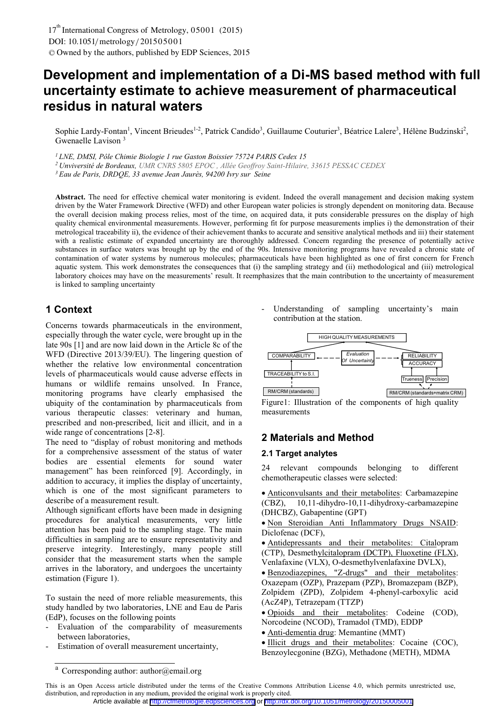# **Development and implementation of a Di-MS based method with full uncertainty estimate to achieve measurement of pharmaceutical residus in natural waters**

Sophie Lardy-Fontan<sup>1</sup>, Vincent Brieudes<sup>1-2</sup>, Patrick Candido<sup>3</sup>, Guillaume Couturier<sup>3</sup>, Béatrice Lalere<sup>3</sup>, Hélène Budzinski<sup>2</sup>, Gwenaelle Lavison 3

*1 LNE, DMSI, Pôle Chimie Biologie 1 rue Gaston Boissier 75724 PARIS Cedex 15* 

*2 Unviversité de Bordeaux, UMR CNRS 5805 EPOC , Allée Geoffroy Saint-Hilaire, 33615 PESSAC CEDEX*

*3 Eau de Paris, DRDQE, 33 avenue Jean Jaurès, 94200 Ivry sur Seine* 

**Abstract.** The need for effective chemical water monitoring is evident. Indeed the overall management and decision making system driven by the Water Framework Directive (WFD) and other European water policies is strongly dependent on monitoring data. Because the overall decision making process relies, most of the time, on acquired data, it puts considerable pressures on the display of high quality chemical environmental measurements. However, performing fit for purpose measurements implies i) the demonstration of their metrological traceability ii), the evidence of their achievement thanks to accurate and sensitive analytical methods and iii) their statement with a realistic estimate of expanded uncertainty are thoroughly addressed. Concern regarding the presence of potentially active substances in surface waters was brought up by the end of the 90s. Intensive monitoring programs have revealed a chronic state of contamination of water systems by numerous molecules; pharmaceuticals have been highlighted as one of first concern for French aquatic system. This work demonstrates the consequences that (i) the sampling strategy and (ii) methodological and (iii) metrological laboratory choices may have on the measurements' result. It reemphasizes that the main contribution to the uncertainty of measurement is linked to sampling uncertainty

# **1 Context**

Concerns towards pharmaceuticals in the environment, especially through the water cycle, were brought up in the late 90s [1] and are now laid down in the Article 8c of the WFD (Directive 2013/39/EU). The lingering question of whether the relative low environmental concentration levels of pharmaceuticals would cause adverse effects in humans or wildlife remains unsolved. In France, monitoring programs have clearly emphasised the ubiquity of the contamination by pharmaceuticals from various therapeutic classes: veterinary and human, prescribed and non-prescribed, licit and illicit, and in a wide range of concentrations [2-8].

The need to "display of robust monitoring and methods for a comprehensive assessment of the status of water bodies are essential elements for sound water management" has been reinforced [9]. Accordingly, in addition to accuracy, it implies the display of uncertainty, which is one of the most significant parameters to describe of a measurement result.

Although significant efforts have been made in designing procedures for analytical measurements, very little attention has been paid to the sampling stage. The main difficulties in sampling are to ensure representativity and preserve integrity. Interestingly, many people still consider that the measurement starts when the sample arrives in the laboratory, and undergoes the uncertainty estimation (Figure 1).

To sustain the need of more reliable measurements, this study handled by two laboratories, LNE and Eau de Paris (EdP), focuses on the following points

- Evaluation of the comparability of measurements between laboratories,
- Estimation of overall measurement uncertainty,

Understanding of sampling uncertainty's main contribution at the station.



Figure1: Illustration of the components of high quality measurements

# **2 Materials and Method**

#### **2.1 Target analytes**

24 relevant compounds belonging to different chemotherapeutic classes were selected:

- Anticonvulsants and their metabolites: Carbamazepine (CBZ), 10,11-dihydro-10,11-dihydroxy-carbamazepine (DHCBZ), Gabapentine (GPT)

· Non Steroidian Anti Inflammatory Drugs NSAID: Diclofenac (DCF),

- Antidepressants and their metabolites: Citalopram (CTP), Desmethylcitalopram (DCTP), Fluoxetine (FLX), Venlafaxine (VLX), O-desmethylvenlafaxine DVLX),

- Benzodiazepines, "Z-drugs" and their metabolites: Oxazepam (OZP), Prazepam (PZP), Bromazepam (BZP), Zolpidem (ZPD), Zolpidem 4-phenyl-carboxylic acid (AcZ4P), Tetrazepam (TTZP)
- Opioids and their metabolites: Codeine (COD), Norcodeine (NCOD), Tramadol (TMD), EDDP

- Anti-dementia drug: Memantine (MMT)

- Illicit drugs and their metabolites: Cocaine (COC), Benzoylecgonine (BZG), Methadone (METH), MDMA

Corresponding author: author@email.org

This is an Open Access article distributed under the terms of the Creative Commons Attribution License 4.0, which permits unrestricted use, distribution, and reproduction in any medium, provided the original work is properly cited. Article available at <http://cfmetrologie.edpsciences.org> or <http://dx.doi.org/10.1051/metrology/20150005001>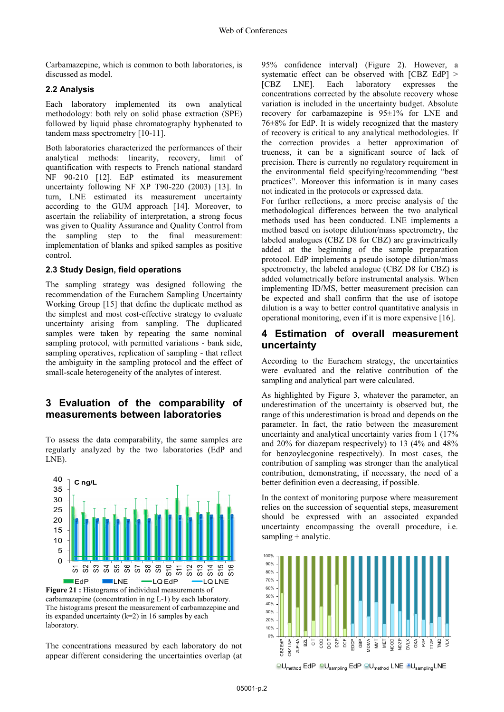Carbamazepine, which is common to both laboratories, is discussed as model.

#### **2.2 Analysis**

Each laboratory implemented its own analytical methodology: both rely on solid phase extraction (SPE) followed by liquid phase chromatography hyphenated to tandem mass spectrometry [10-11].

Both laboratories characterized the performances of their analytical methods: linearity, recovery, limit of quantification with respects to French national standard NF 90-210 [12]. EdP estimated its measurement uncertainty following NF XP T90-220 (2003) [13]. In turn, LNE estimated its measurement uncertainty according to the GUM approach [14]. Moreover, to ascertain the reliability of interpretation, a strong focus was given to Quality Assurance and Quality Control from the sampling step to the final measurement: implementation of blanks and spiked samples as positive control.

#### **2.3 Study Design, field operations**

The sampling strategy was designed following the recommendation of the Eurachem Sampling Uncertainty Working Group [15] that define the duplicate method as the simplest and most cost-effective strategy to evaluate uncertainty arising from sampling. The duplicated samples were taken by repeating the same nominal sampling protocol, with permitted variations - bank side, sampling operatives, replication of sampling - that reflect the ambiguity in the sampling protocol and the effect of small-scale heterogeneity of the analytes of interest.

# **3 Evaluation of the comparability of measurements between laboratories**

To assess the data comparability, the same samples are regularly analyzed by the two laboratories (EdP and LNE).



The histograms present the measurement of carbamazepine and its expanded uncertainty (k=2) in 16 samples by each laboratory.

The concentrations measured by each laboratory do not appear different considering the uncertainties overlap (at 95% confidence interval) (Figure 2). However, a systematic effect can be observed with [CBZ EdP] > [CBZ LNE]. Each laboratory expresses the concentrations corrected by the absolute recovery whose variation is included in the uncertainty budget. Absolute recovery for carbamazepine is 95±1% for LNE and  $76\pm8\%$  for EdP. It is widely recognized that the mastery of recovery is critical to any analytical methodologies. If the correction provides a better approximation of trueness, it can be a significant source of lack of precision. There is currently no regulatory requirement in the environmental field specifying/recommending "best practices". Moreover this information is in many cases not indicated in the protocols or expressed data.

For further reflections, a more precise analysis of the methodological differences between the two analytical methods used has been conducted. LNE implements a method based on isotope dilution/mass spectrometry, the labeled analogues (CBZ D8 for CBZ) are gravimetrically added at the beginning of the sample preparation protocol. EdP implements a pseudo isotope dilution/mass spectrometry, the labeled analogue (CBZ D8 for CBZ) is added volumetrically before instrumental analysis. When implementing ID/MS, better measurement precision can be expected and shall confirm that the use of isotope dilution is a way to better control quantitative analysis in operational monitoring, even if it is more expensive [16].

# **4 Estimation of overall measurement uncertainty**

According to the Eurachem strategy, the uncertainties were evaluated and the relative contribution of the sampling and analytical part were calculated.

As highlighted by Figure 3, whatever the parameter, an underestimation of the uncertainty is observed but, the range of this underestimation is broad and depends on the parameter. In fact, the ratio between the measurement uncertainty and analytical uncertainty varies from 1 (17% and 20% for diazepam respectively) to 13 (4% and 48% for benzoylecgonine respectively). In most cases, the contribution of sampling was stronger than the analytical contribution, demonstrating, if necessary, the need of a better definition even a decreasing, if possible.

In the context of monitoring purpose where measurement relies on the succession of sequential steps, measurement should be expressed with an associated expanded uncertainty encompassing the overall procedure, i.e. sampling + analytic.



 $\Box$ U<sub>method</sub> EdP  $\Box$ U<sub>sampling</sub> EdP  $\Box$ U<sub>method</sub> LNE  $\Box$ U<sub>sampling</sub> LNE